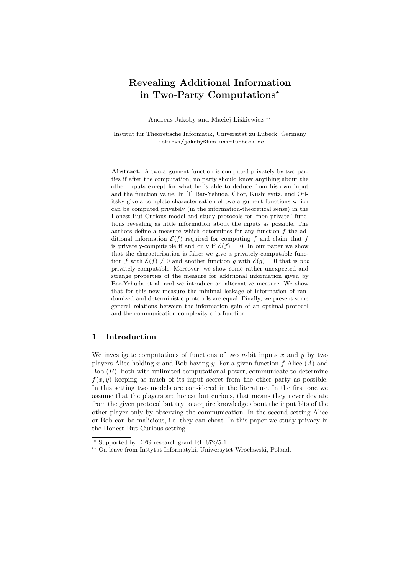# **Revealing Additional Information in Two-Party Computations**

Andreas Jakoby and Maciej Liśkiewicz<sup>\*\*</sup>

Institut für Theoretische Informatik, Universität zu Lübeck, Germany liskiewi/jakoby@tcs.uni-luebeck.de

**Abstract.** A two-argument function is computed privately by two parties if after the computation, no party should know anything about the other inputs except for what he is able to deduce from his own input and the function value. In [1] Bar-Yehuda, Chor, Kushilevitz, and Orlitsky give a complete characterisation of two-argument functions which can be computed privately (in the information-theoretical sense) in the Honest-But-Curious model and study protocols for "non-private" functions revealing as little information about the inputs as possible. The authors define a measure which determines for any function *f* the additional information  $\mathcal{E}(f)$  required for computing f and claim that f is privately-computable if and only if  $\mathcal{E}(f) = 0$ . In our paper we show that the characterisation is false: we give a privately-computable function *f* with  $\mathcal{E}(f) \neq 0$  and another function *g* with  $\mathcal{E}(g) = 0$  that is *not* privately-computable. Moreover, we show some rather unexpected and strange properties of the measure for additional information given by Bar-Yehuda et al. and we introduce an alternative measure. We show that for this new measure the minimal leakage of information of randomized and deterministic protocols are equal. Finally, we present some general relations between the information gain of an optimal protocol and the communication complexity of a function.

# **1 Introduction**

We investigate computations of functions of two *n*-bit inputs x and  $\eta$  by two players Alice holding x and Bob having y. For a given function f Alice  $(A)$  and Bob  $(B)$ , both with unlimited computational power, communicate to determine  $f(x, y)$  keeping as much of its input secret from the other party as possible. In this setting two models are considered in the literature. In the first one we assume that the players are honest but curious, that means they never deviate from the given protocol but try to acquire knowledge about the input bits of the other player only by observing the communication. In the second setting Alice or Bob can be malicious, i.e. they can cheat. In this paper we study privacy in the Honest-But-Curious setting.

 $\star$  Supported by DFG research grant RE 672/5-1

<sup>\*\*</sup> On leave from Instytut Informatyki, Uniwersytet Wrocławski, Poland.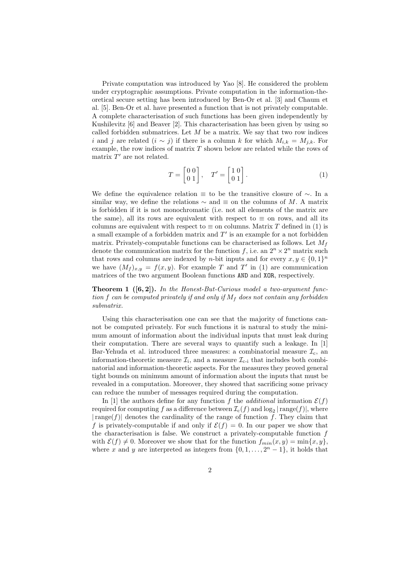Private computation was introduced by Yao [8]. He considered the problem under cryptographic assumptions. Private computation in the information-theoretical secure setting has been introduced by Ben-Or et al. [3] and Chaum et al. [5]. Ben-Or et al. have presented a function that is not privately computable. A complete characterisation of such functions has been given independently by Kushilevitz [6] and Beaver [2]. This characterisation has been given by using so called forbidden submatrices. Let  $M$  be a matrix. We say that two row indices i and j are related  $(i \sim j)$  if there is a column k for which  $M_{i,k} = M_{j,k}$ . For example, the row indices of matrix  $T$  shown below are related while the rows of matrix  $T'$  are not related.

$$
T = \begin{bmatrix} 0 & 0 \\ 0 & 1 \end{bmatrix}, \quad T' = \begin{bmatrix} 1 & 0 \\ 0 & 1 \end{bmatrix}.
$$
 (1)

We define the equivalence relation  $\equiv$  to be the transitive closure of  $\sim$ . In a similar way, we define the relations  $\sim$  and  $\equiv$  on the columns of M. A matrix is forbidden if it is not monochromatic (i.e. not all elements of the matrix are the same), all its rows are equivalent with respect to  $\equiv$  on rows, and all its columns are equivalent with respect to  $\equiv$  on columns. Matrix T defined in (1) is a small example of a forbidden matrix and  $T'$  is an example for a not forbidden matrix. Privately-computable functions can be characterised as follows. Let  $M_f$ denote the communication matrix for the function f, i.e. an  $2^n \times 2^n$  matrix such that rows and columns are indexed by *n*-bit inputs and for every  $x, y \in \{0, 1\}^n$ we have  $(M_f)_{x,y} = f(x,y)$ . For example T and T' in (1) are communication matrices of the two argument Boolean functions AND and XOR, respectively.

**Theorem 1 ([6, 2]).** *In the Honest-But-Curious model a two-argument function* f can be computed privately if and only if  $M_f$  does not contain any forbidden *submatrix.*

Using this characterisation one can see that the majority of functions cannot be computed privately. For such functions it is natural to study the minimum amount of information about the individual inputs that must leak during their computation. There are several ways to quantify such a leakage. In [1] Bar-Yehuda et al. introduced three measures: a combinatorial measure  $\mathcal{I}_c$ , an information-theoretic measure  $\mathcal{I}_i$ , and a measure  $\mathcal{I}_{c-i}$  that includes both combinatorial and information-theoretic aspects. For the measures they proved general tight bounds on minimum amount of information about the inputs that must be revealed in a computation. Moreover, they showed that sacrificing some privacy can reduce the number of messages required during the computation.

In [1] the authors define for any function f the *additional* information  $\mathcal{E}(f)$ required for computing f as a difference between  $\mathcal{I}_c(f)$  and  $\log_2 |\text{range}(f)|$ , where  $|\text{range}(f)|$  denotes the cardinality of the range of function f. They claim that f is privately-computable if and only if  $\mathcal{E}(f) = 0$ . In our paper we show that the characterisation is false. We construct a privately-computable function  $f$ with  $\mathcal{E}(f) \neq 0$ . Moreover we show that for the function  $f_{min}(x, y) = \min\{x, y\}$ , where x and y are interpreted as integers from  $\{0, 1, \ldots, 2<sup>n</sup> - 1\}$ , it holds that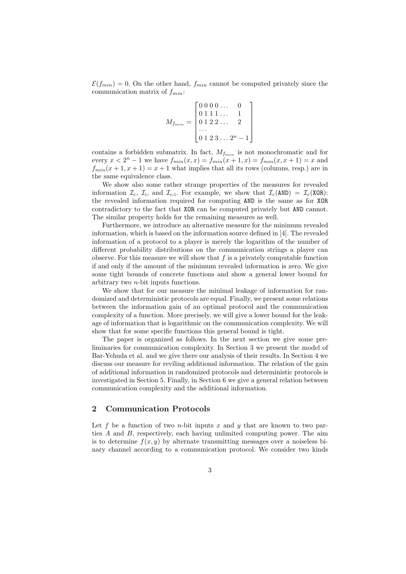$\mathcal{E}(f_{min}) = 0$ . On the other hand,  $f_{min}$  cannot be computed privately since the communication matrix of  $f_{min}$ :

$$
M_{f_{min}} = \begin{bmatrix} 0 & 0 & 0 & \dots & 0 \\ 0 & 1 & 1 & \dots & 1 \\ 0 & 1 & 2 & 2 & \dots & 2 \\ \dots & \dots & \dots & \dots & \dots \\ 0 & 1 & 2 & 3 & \dots & 2^n - 1 \end{bmatrix}
$$

contains a forbidden submatrix. In fact,  $M_{f_{min}}$  is not monochromatic and for every  $x < 2^n - 1$  we have  $f_{min}(x, x) = f_{min}(x + 1, x) = f_{min}(x, x + 1) = x$  and  $f_{min}(x+1, x+1) = x+1$  what implies that all its rows (columns, resp.) are in the same equivalence class.

We show also some rather strange properties of the measures for revealed information  $\mathcal{I}_c$ ,  $\mathcal{I}_i$ , and  $\mathcal{I}_{c-i}$ . For example, we show that  $\mathcal{I}_c(\text{AND}) = \mathcal{I}_c(\text{XOR})$ : the revealed information required for computing AND is the same as for XOR contradictory to the fact that XOR can be computed privately but AND cannot. The similar property holds for the remaining measures as well.

Furthermore, we introduce an alternative measure for the minimum revealed information, which is based on the information source defined in [4]. The revealed information of a protocol to a player is merely the logarithm of the number of different probability distributions on the communication strings a player can observe. For this measure we will show that  $f$  is a privately computable function if and only if the amount of the minimum revealed information is zero. We give some tight bounds of concrete functions and show a general lower bound for arbitrary two n-bit inputs functions.

We show that for our measure the minimal leakage of information for randomized and deterministic protocols are equal. Finally, we present some relations between the information gain of an optimal protocol and the communication complexity of a function. More precisely, we will give a lower bound for the leakage of information that is logarithmic on the communication complexity. We will show that for some specific functions this general bound is tight.

The paper is organized as follows. In the next section we give some preliminaries for communication complexity. In Section 3 we present the model of Bar-Yehuda et al. and we give there our analysis of their results. In Section 4 we discuss our measure for reviling additional information. The relation of the gain of additional information in randomized protocols and deterministic protocols is investigated in Section 5. Finally, in Section 6 we give a general relation between communication complexity and the additional information.

## **2 Communication Protocols**

Let f be a function of two *n*-bit inputs x and y that are known to two parties A and B, respectively, each having unlimited computing power. The aim is to determine  $f(x, y)$  by alternate transmitting messages over a noiseless binary channel according to a communication protocol. We consider two kinds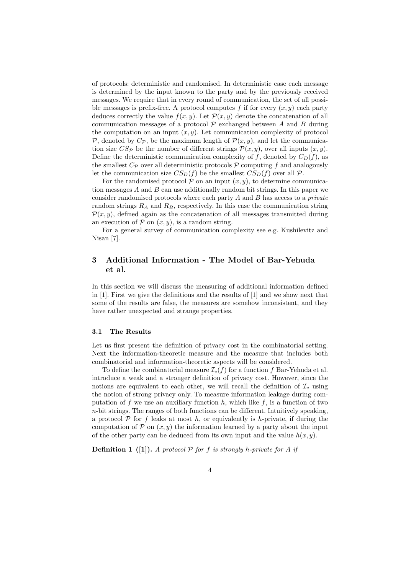of protocols: deterministic and randomised. In deterministic case each message is determined by the input known to the party and by the previously received messages. We require that in every round of communication, the set of all possible messages is prefix-free. A protocol computes f if for every  $(x, y)$  each party deduces correctly the value  $f(x, y)$ . Let  $\mathcal{P}(x, y)$  denote the concatenation of all communication messages of a protocol  $P$  exchanged between A and B during the computation on an input  $(x, y)$ . Let communication complexity of protocol P, denoted by  $C_{\mathcal{P}}$ , be the maximum length of  $\mathcal{P}(x, y)$ , and let the communication size  $CS_{\mathcal{P}}$  be the number of different strings  $\mathcal{P}(x, y)$ , over all inputs  $(x, y)$ . Define the deterministic communication complexity of f, denoted by  $C_D(f)$ , as the smallest  $C_{\mathcal{P}}$  over all deterministic protocols  $\mathcal P$  computing f and analogously let the communication size  $CS_D(f)$  be the smallest  $CS_D(f)$  over all  $\mathcal P$ .

For the randomised protocol  $P$  on an input  $(x, y)$ , to determine communication messages  $A$  and  $B$  can use additionally random bit strings. In this paper we consider randomised protocols where each party A and B has access to a *private* random strings  $R_A$  and  $R_B$ , respectively. In this case the communication string  $\mathcal{P}(x, y)$ , defined again as the concatenation of all messages transmitted during an execution of  $P$  on  $(x, y)$ , is a random string.

For a general survey of communication complexity see e.g. Kushilevitz and Nisan [7].

# **3 Additional Information - The Model of Bar-Yehuda et al.**

In this section we will discuss the measuring of additional information defined in [1]. First we give the definitions and the results of [1] and we show next that some of the results are false, the measures are somehow inconsistent, and they have rather unexpected and strange properties.

## **3.1 The Results**

Let us first present the definition of privacy cost in the combinatorial setting. Next the information-theoretic measure and the measure that includes both combinatorial and information-theoretic aspects will be considered.

To define the combinatorial measure  $\mathcal{I}_c(f)$  for a function f Bar-Yehuda et al. introduce a weak and a stronger definition of privacy cost. However, since the notions are equivalent to each other, we will recall the definition of  $\mathcal{I}_c$  using the notion of strong privacy only. To measure information leakage during computation of f we use an auxiliary function h, which like f, is a function of two  $n$ -bit strings. The ranges of both functions can be different. Intuitively speaking, a protocol  $\mathcal P$  for f leaks at most h, or equivalently is h-private, if during the computation of  $P$  on  $(x, y)$  the information learned by a party about the input of the other party can be deduced from its own input and the value  $h(x, y)$ .

**Definition 1** ([1]). A protocol  $P$  for f is strongly h-private for A if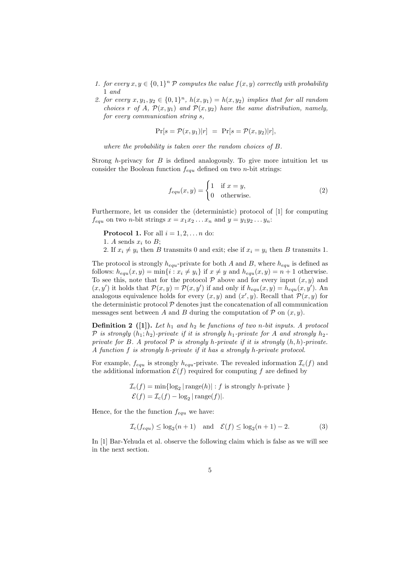- *1. for every*  $x, y \in \{0, 1\}^n$   $\mathcal P$  *computes the value*  $f(x, y)$  *correctly with probability* 1 *and*
- 2. for every  $x, y_1, y_2 \in \{0, 1\}^n$ ,  $h(x, y_1) = h(x, y_2)$  *implies that for all random choices* r *of* A,  $\mathcal{P}(x, y_1)$  *and*  $\mathcal{P}(x, y_2)$  *have the same distribution, namely, for every communication string* s*,*

$$
Pr[s = \mathcal{P}(x, y_1)|r] = Pr[s = \mathcal{P}(x, y_2)|r],
$$

*where the probability is taken over the random choices of* B*.*

Strong  $h$ -privacy for  $B$  is defined analogously. To give more intuition let us consider the Boolean function  $f_{equ}$  defined on two n-bit strings:

$$
f_{equ}(x,y) = \begin{cases} 1 & \text{if } x = y, \\ 0 & \text{otherwise.} \end{cases}
$$
 (2)

Furthermore, let us consider the (deterministic) protocol of [1] for computing  $f_{equ}$  on two *n*-bit strings  $x = x_1x_2...x_n$  and  $y = y_1y_2...y_n$ :

**Protocol 1.** For all  $i = 1, 2, \ldots n$  do:

- 1. A sends  $x_i$  to  $B$ ;
- 2. If  $x_i \neq y_i$  then B transmits 0 and exit; else if  $x_i = y_i$  then B transmits 1.

The protocol is strongly  $h_{equ}$ -private for both A and B, where  $h_{equ}$  is defined as follows:  $h_{equ}(x, y) = \min\{i : x_i \neq y_i\}$  if  $x \neq y$  and  $h_{equ}(x, y) = n + 1$  otherwise. To see this, note that for the protocol  $P$  above and for every input  $(x, y)$  and  $(x, y')$  it holds that  $\mathcal{P}(x, y) = \mathcal{P}(x, y')$  if and only if  $h_{equ}(x, y) = h_{equ}(x, y')$ . An analogous equivalence holds for every  $(x, y)$  and  $(x', y)$ . Becall that  $\mathcal{P}(x, y)$  for analogous equivalence holds for every  $(x, y)$  and  $(x', y)$ . Recall that  $\mathcal{P}(x, y)$  for<br>the deterministic protocol  $\mathcal{P}$  denotes just the concatenation of all communication the deterministic protocol  $P$  denotes just the concatenation of all communication messages sent between A and B during the computation of  $P$  on  $(x, y)$ .

**Definition 2** ([1]). Let  $h_1$  and  $h_2$  be functions of two n-bit inputs. A protocol P is strongly  $(h_1; h_2)$ -private if it is strongly  $h_1$ -private for A and strongly  $h_2$ *private for* B. A protocol  $P$  *is strongly* h-private *if it is strongly*  $(h, h)$ -private. *A function* f *is strongly* h*-private if it has a strongly* h*-private protocol.*

For example,  $f_{equ}$  is strongly  $h_{equ}$ -private. The revealed information  $\mathcal{I}_c(f)$  and the additional information  $\mathcal{E}(f)$  required for computing f are defined by

$$
\mathcal{I}_{c}(f) = \min\{\log_2 |\text{range}(h)| : f \text{ is strongly } h\text{-private }\}
$$

$$
\mathcal{E}(f) = \mathcal{I}_{c}(f) - \log_2 |\text{range}(f)|.
$$

Hence, for the the function  $f_{equ}$  we have:

$$
\mathcal{I}_{\mathbf{c}}(f_{equ}) \le \log_2(n+1) \quad \text{and} \quad \mathcal{E}(f) \le \log_2(n+1) - 2. \tag{3}
$$

In [1] Bar-Yehuda et al. observe the following claim which is false as we will see in the next section.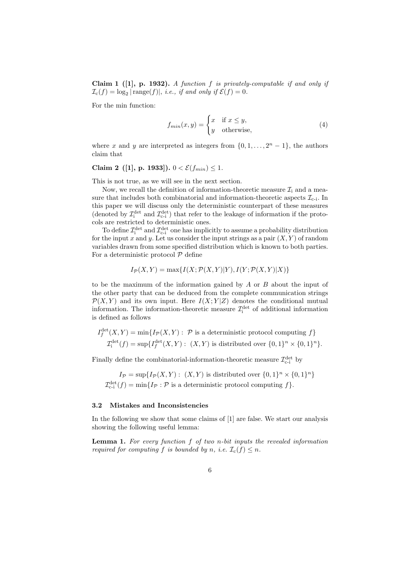**Claim 1 ([1], p. 1932).** *A function* f *is privately-computable if and only if*  $\mathcal{I}_c(f) = \log_2 |\text{range}(f)|$ , *i.e.*, *if and only if*  $\mathcal{E}(f) = 0$ .

For the min function:

$$
f_{min}(x,y) = \begin{cases} x & \text{if } x \le y, \\ y & \text{otherwise,} \end{cases}
$$
 (4)

where x and y are interpreted as integers from  $\{0, 1, \ldots, 2<sup>n</sup> - 1\}$ , the authors claim that

# **Claim 2** ([1], p. 1933]).  $0 < \mathcal{E}(f_{min}) \leq 1$ .

This is not true, as we will see in the next section.

Now, we recall the definition of information-theoretic measure  $\mathcal{I}_i$  and a measure that includes both combinatorial and information-theoretic aspects  $\mathcal{I}_{c-i}$ . In this paper we will discuss only the deterministic counterpart of these measures (denoted by  $\mathcal{I}^{\text{det}}_i$  and  $\mathcal{I}^{\text{det}}_{c-i}$ ) that refer to the leakage of information if the protocols are restricted to deterministic ones.

To define  $\mathcal{I}^{\text{det}}_{i}$  and  $\mathcal{I}^{\text{det}}_{c-i}$  one has implicitly to assume a probability distribution for the input x and y. Let us consider the input strings as a pair  $(X, Y)$  of random variables drawn from some specified distribution which is known to both parties. For a deterministic protocol  $P$  define

$$
I_{\mathcal{P}}(X,Y) = \max\{I(X;\mathcal{P}(X,Y)|Y), I(Y;\mathcal{P}(X,Y)|X)\}
$$

to be the maximum of the information gained by A or B about the input of the other party that can be deduced from the complete communication strings  $\mathcal{P}(X, Y)$  and its own input. Here  $I(X; Y|Z)$  denotes the conditional mutual information. The information-theoretic measure  $\mathcal{I}^{\text{det}}_i$  of additional information is defined as follows

$$
I_f^{\text{det}}(X, Y) = \min\{I_{\mathcal{P}}(X, Y) : \mathcal{P} \text{ is a deterministic protocol computing } f\}
$$
  

$$
\mathcal{I}_i^{\text{det}}(f) = \sup\{I_f^{\text{det}}(X, Y) : (X, Y) \text{ is distributed over } \{0, 1\}^n \times \{0, 1\}^n\}.
$$

Finally define the combinatorial-information-theoretic measure  $\mathcal{I}^{\text{det}}_{\text{c-i}}$  by

 $I_{\mathcal{P}} = \sup \{ I_{\mathcal{P}}(X, Y) : (X, Y) \text{ is distributed over } \{0, 1\}^n \times \{0, 1\}^n \}$  $\mathcal{I}_{\text{c-i}}^{\text{det}}(f) = \min\{I_{\mathcal{P}} : \mathcal{P} \text{ is a deterministic protocol computing } f\}.$ 

#### **3.2 Mistakes and Inconsistencies**

In the following we show that some claims of [1] are false. We start our analysis showing the following useful lemma:

**Lemma 1.** *For every function* f *of two* n*-bit inputs the revealed information required for computing* f *is bounded by* n, *i.e.*  $\mathcal{I}_c(f) \leq n$ .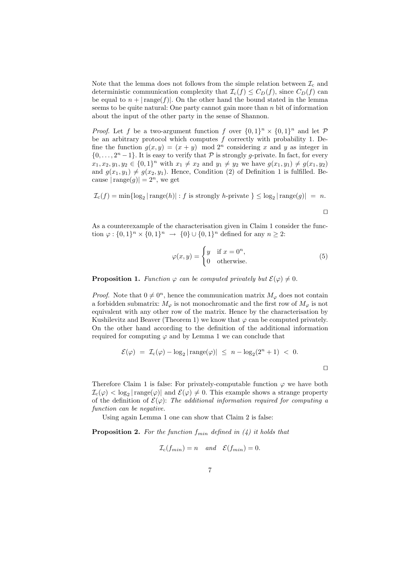Note that the lemma does not follows from the simple relation between  $\mathcal{I}_c$  and deterministic communication complexity that  $\mathcal{I}_c(f) \leq C_D(f)$ , since  $C_D(f)$  can be equal to  $n + |\text{range}(f)|$ . On the other hand the bound stated in the lemma seems to be quite natural: One party cannot gain more than  $n$  bit of information about the input of the other party in the sense of Shannon.

*Proof.* Let f be a two-argument function f over  $\{0,1\}^n \times \{0,1\}^n$  and let P be an arbitrary protocol which computes  $f$  correctly with probability 1. Define the function  $g(x, y) = (x + y) \mod 2^n$  considering x and y as integer in  $\{0,\ldots,2^n-1\}$ . It is easy to verify that P is strongly g-private. In fact, for every  $x_1, x_2, y_1, y_2 \in \{0, 1\}^n$  with  $x_1 \neq x_2$  and  $y_1 \neq y_2$  we have  $g(x_1, y_1) \neq g(x_1, y_2)$ and  $g(x_1, y_1) \neq g(x_2, y_1)$ . Hence, Condition (2) of Definition 1 is fulfilled. Because  $|\text{range}(g)| = 2^n$ , we get

$$
\mathcal{I}_{\mathrm{c}}(f) = \min\{\log_2|\operatorname{range}(h)| : f \text{ is strongly } h\text{-private }\} \leq \log_2|\operatorname{range}(g)| = n.
$$

$$
\qquad \qquad \Box
$$

As a counterexample of the characterisation given in Claim 1 consider the function  $\varphi : \{0,1\}^n \times \{0,1\}^n \to \{0\} \cup \{0,1\}^n$  defined for any  $n \geq 2$ :

$$
\varphi(x,y) = \begin{cases} y & \text{if } x = 0^n, \\ 0 & \text{otherwise.} \end{cases}
$$
 (5)

**Proposition 1.** *Function*  $\varphi$  *can be computed privately but*  $\mathcal{E}(\varphi) \neq 0$ *.* 

*Proof.* Note that  $0 \neq 0^n$ , hence the communication matrix  $M_{\varphi}$  does not contain a forbidden submatrix:  $M_{\varphi}$  is not monochromatic and the first row of  $M_{\varphi}$  is not equivalent with any other row of the matrix. Hence by the characterisation by Kushilevitz and Beaver (Theorem 1) we know that  $\varphi$  can be computed privately. On the other hand according to the definition of the additional information required for computing  $\varphi$  and by Lemma 1 we can conclude that

$$
\mathcal{E}(\varphi) = \mathcal{I}_c(\varphi) - \log_2 |\operatorname{range}(\varphi)| \le n - \log_2(2^n + 1) < 0.
$$

Therefore Claim 1 is false: For privately-computable function  $\varphi$  we have both  $\mathcal{I}_{c}(\varphi) < \log_2 |\text{range}(\varphi)|$  and  $\mathcal{E}(\varphi) \neq 0$ . This example shows a strange property of the definition of  $\mathcal{E}(\varphi)$ : *The additional information required for computing a function can be negative.*

Using again Lemma 1 one can show that Claim 2 is false:

**Proposition 2.** For the function  $f_{min}$  defined in  $(4)$  it holds that

$$
\mathcal{I}_c(f_{min}) = n \quad and \quad \mathcal{E}(f_{min}) = 0.
$$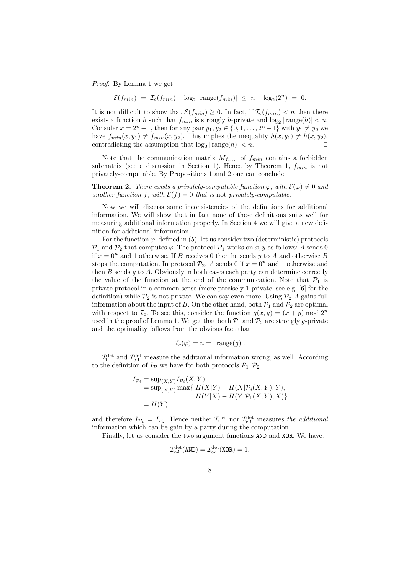*Proof.* By Lemma 1 we get

$$
\mathcal{E}(f_{min}) = \mathcal{I}_{c}(f_{min}) - \log_2|\operatorname{range}(f_{min})| \leq n - \log_2(2^n) = 0.
$$

It is not difficult to show that  $\mathcal{E}(f_{min}) \geq 0$ . In fact, if  $\mathcal{I}_c(f_{min}) < n$  then there exists a function h such that  $f_{min}$  is strongly h-private and  $log_2 |\text{range}(h)| < n$ . Consider  $x = 2^{n} - 1$ , then for any pair  $y_1, y_2 \in \{0, 1, ..., 2^{n} - 1\}$  with  $y_1 \neq y_2$  we have  $f_{min}(x, y_1) \neq f_{min}(x, y_2)$ . This implies the inequality  $h(x, y_1) \neq h(x, y_2)$ , contradicting the assumption that  $\log_2 |\text{range}(h)| < n$ . contradicting the assumption that  $log_2 |{\rm range}(h)| < n$ .

Note that the communication matrix  $M_{f_{min}}$  of  $f_{min}$  contains a forbidden submatrix (see a discussion in Section 1). Hence by Theorem 1,  $f_{min}$  is not privately-computable. By Propositions 1 and 2 one can conclude

**Theorem 2.** *There exists a privately-computable function*  $\varphi$ *, with*  $\mathcal{E}(\varphi) \neq 0$  *and another function* f, with  $\mathcal{E}(f) = 0$  *that is* not *privately-computable.* 

Now we will discuss some inconsistencies of the definitions for additional information. We will show that in fact none of these definitions suits well for measuring additional information properly. In Section 4 we will give a new definition for additional information.

For the function  $\varphi$ , defined in (5), let us consider two (deterministic) protocols  $\mathcal{P}_1$  and  $\mathcal{P}_2$  that computes  $\varphi$ . The protocol  $\mathcal{P}_1$  works on x, y as follows: A sends 0 if  $x = 0^n$  and 1 otherwise. If B receives 0 then he sends y to A and otherwise B stops the computation. In protocol  $\mathcal{P}_2$ , A sends 0 if  $x = 0^n$  and 1 otherwise and then  $B$  sends  $y$  to  $A$ . Obviously in both cases each party can determine correctly the value of the function at the end of the communication. Note that  $\mathcal{P}_1$  is private protocol in a common sense (more precisely 1-private, see e.g. [6] for the definition) while  $\mathcal{P}_2$  is not private. We can say even more: Using  $\mathcal{P}_2$  A gains full information about the input of B. On the other hand, both  $\mathcal{P}_1$  and  $\mathcal{P}_2$  are optimal with respect to  $\mathcal{I}_c$ . To see this, consider the function  $g(x, y)=(x + y) \mod 2^n$ used in the proof of Lemma 1. We get that both  $\mathcal{P}_1$  and  $\mathcal{P}_2$  are strongly g-private and the optimality follows from the obvious fact that

$$
\mathcal{I}_{\mathrm{c}}(\varphi) = n = |\operatorname{range}(g)|.
$$

 $\mathcal{I}^{\text{det}}_{\text{c}}$  and  $\mathcal{I}^{\text{det}}_{\text{c-i}}$  measure the additional information wrong, as well. According to the definition of  $I_p$  we have for both protocols  $\mathcal{P}_1, \mathcal{P}_2$ 

$$
I_{\mathcal{P}_i} = \sup_{(X,Y)} I_{\mathcal{P}_i}(X,Y)
$$
  
=  $\sup_{(X,Y)} \max\{ H(X|Y) - H(X|\mathcal{P}_i(X,Y), Y), H(Y|X) - H(Y|\mathcal{P}_1(X,Y), X) \}$   
=  $H(Y)$ 

and therefore  $I_{\mathcal{P}_1} = I_{\mathcal{P}_2}$ . Hence neither  $\mathcal{I}_{\text{c}}^{\text{det}}$  nor  $\mathcal{I}_{\text{c}}^{\text{det}}$  measures *the additional*<br>information which can be gain by a party during the computation information which can be gain by a party during the computation.

Finally, let us consider the two argument functions AND and XOR. We have:

$$
\mathcal{I}_{\text{c-i}}^{\text{det}}(\text{AND}) = \mathcal{I}_{\text{c-i}}^{\text{det}}(\text{XOR}) = 1.
$$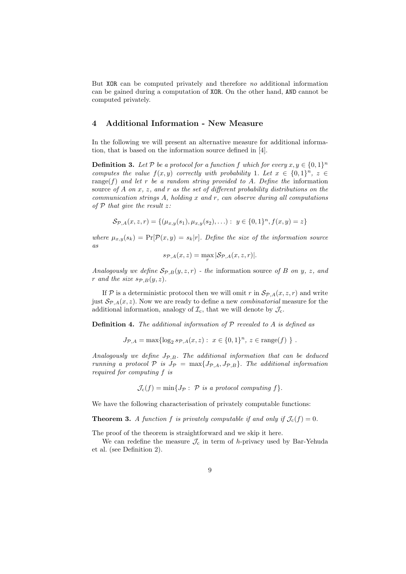But XOR can be computed privately and therefore *no* additional information can be gained during a computation of XOR. On the other hand, AND cannot be computed privately.

# **4 Additional Information - New Measure**

In the following we will present an alternative measure for additional information, that is based on the information source defined in [4].

**Definition 3.** Let P be a protocol for a function f which for every  $x, y \in \{0,1\}^n$ *computes the value*  $f(x, y)$  *correctly with probability* 1*. Let*  $x \in \{0, 1\}^n$ ,  $z \in$ range(f) *and let* r *be a random string provided to* A*. Define the* information source *of* A *on* x*,* z*, and* r *as the set of different probability distributions on the communication strings* A*, holding* x *and* r*, can observe during all computations of* <sup>P</sup> *that give the result* z*:*

$$
\mathcal{S}_{\mathcal{P},A}(x,z,r) = \{(\mu_{x,y}(s_1), \mu_{x,y}(s_2), \ldots) : y \in \{0,1\}^n, f(x,y) = z\}
$$

where  $\mu_{x,y}(s_k) = \Pr[\mathcal{P}(x,y) = s_k | r]$ *. Define the size of the information source as*

$$
s_{\mathcal{P},A}(x,z) = \max_r |\mathcal{S}_{\mathcal{P},A}(x,z,r)|.
$$

*Analogously we define*  $\mathcal{S}_{\mathcal{P},B}(y,z,r)$  *- the* information source of B on y, z, and r and the size  $s_{\mathcal{P},B}(y, z)$ .

If P is a deterministic protocol then we will omit r in  $\mathcal{S}_{\mathcal{P},A}(x, z, r)$  and write just  $\mathcal{S}_{\mathcal{P},A}(x,z)$ . Now we are ready to define a new *combinatorial* measure for the additional information, analogy of  $\mathcal{I}_c$ , that we will denote by  $\mathcal{J}_c$ .

**Definition 4.** *The additional information of* <sup>P</sup> *revealed to* A *is defined as*

$$
J_{\mathcal{P},A} = \max \{ \log_2 sp_{,A}(x,z) : x \in \{0,1\}^n, z \in \text{range}(f) \}.
$$

*Analogously we define* JP,B*. The additional information that can be deduced running a protocol*  $P$  *is*  $J_P = \max\{J_{P,A}, J_{P,B}\}$ . *The additional information required for computing* f *is*

 $\mathcal{J}_c(f) = \min\{J_{\mathcal{P}}: \mathcal{P} \text{ is a protocol computing } f\}.$ 

We have the following characterisation of privately computable functions:

**Theorem 3.** *A function* f *is privately computable if and only if*  $\mathcal{J}_c(f) = 0$ *.* 

The proof of the theorem is straightforward and we skip it here.

We can redefine the measure  $\mathcal{J}_c$  in term of h-privacy used by Bar-Yehuda et al. (see Definition 2).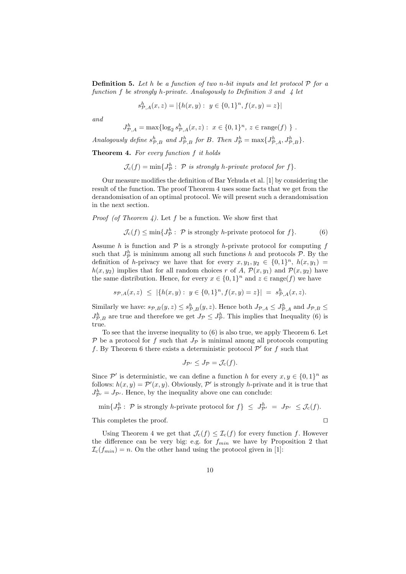**Definition 5.** *Let* h *be a function of two* n*-bit inputs and let protocol* <sup>P</sup> *for a function* f *be strongly* h*-private. Analogously to Definition 3 and 4 let*

$$
s_{\mathcal{P},A}^{h}(x,z) = |\{h(x,y) : y \in \{0,1\}^n, f(x,y) = z\}|
$$

*and*

$$
J^h_{\mathcal{P},A} = \max \{ \log_2 s^h_{\mathcal{P},A}(x,z) : x \in \{0,1\}^n, z \in \text{range}(f) \}.
$$

Analogously define  $s_{\mathcal{P},B}^h$  and  $J_{\mathcal{P},B}^h$  for B. Then  $J_{\mathcal{P}}^h = \max\{J_{\mathcal{P},A}^h, J_{\mathcal{P},B}^h\}.$ 

**Theorem 4.** *For every function* f *it holds*

 $\mathcal{J}_{c}(f) = \min\{J_{\mathcal{P}}^{h}:\ \mathcal{P}\ \text{is strongly}\ h\text{-private protocol for}\ f\}.$ 

Our measure modifies the definition of Bar Yehuda et al. [1] by considering the result of the function. The proof Theorem 4 uses some facts that we get from the derandomisation of an optimal protocol. We will present such a derandomisation in the next section.

*Proof (of Theorem 4).* Let f be a function. We show first that

$$
\mathcal{J}_{\mathbf{c}}(f) \le \min\{J^h_{\mathcal{P}}:\ \mathcal{P}\text{ is strongly }h\text{-private protocol for }f\}.\tag{6}
$$

Assume h is function and  $P$  is a strongly h-private protocol for computing f such that  $J_p^h$  is minimum among all such functions h and protocols  $\mathcal{P}$ . By the definition of h-privacy we have that for every  $x, y_1, y_0 \in \{0, 1\}^n$  h( $x, y_1$ ) = definition of h-privacy we have that for every  $x, y_1, y_2 \in \{0, 1\}^n$ ,  $h(x, y_1) =$  $h(x, y_2)$  implies that for all random choices r of A,  $\mathcal{P}(x, y_1)$  and  $\mathcal{P}(x, y_2)$  have the same distribution. Hence, for every  $x \in \{0,1\}^n$  and  $z \in \text{range}(f)$  we have

$$
s_{\mathcal{P},A}(x,z) \leq |\{h(x,y): y \in \{0,1\}^n, f(x,y) = z\}| = s_{\mathcal{P},A}^h(x,z).
$$

Similarly we have:  $s_{\mathcal{P},B}(y,z) \leq s_{\mathcal{P},B}^h(y,z)$ . Hence both  $J_{\mathcal{P},A} \leq J_{\mathcal{P},A}^h$  and  $J_{\mathcal{P},B} \leq$ <br> $I_h^h$  are true and therefore we get  $I_{\mathcal{P},B}$ . This implies that Incomedity (6) is  $J_{\mathcal{P},B}^h$  are true and therefore we get  $J_{\mathcal{P}} \leq J_{\mathcal{P}}^h$ . This implies that Inequality (6) is true.

To see that the inverse inequality to (6) is also true, we apply Theorem 6. Let  $\mathcal P$  be a protocol for f such that  $J_{\mathcal P}$  is minimal among all protocols computing f. By Theorem 6 there exists a deterministic protocol  $\mathcal{P}'$  for f such that

$$
J_{\mathcal{P}'} \leq J_{\mathcal{P}} = \mathcal{J}_{\mathbf{c}}(f).
$$

Since  $\mathcal{P}'$  is deterministic, we can define a function h for every  $x, y \in \{0,1\}^n$  as follows:  $h(x, y) = \mathcal{P}'(x, y)$ . Obviously,  $\mathcal{P}'$  is strongly *h*-private and it is true that  $I^h = I_{\mathcal{P}}$ . Hence, by the inequality above one can conclude:  $J_{\mathcal{P}'}^{h} = J_{\mathcal{P}'}$ . Hence, by the inequality above one can conclude:

$$
\min\{J^h_{\mathcal{P}}:\ \mathcal{P}\text{ is strongly }h\text{-private protocol for }f\}\ \leq\ J^h_{\mathcal{P}'}\ =\ J_{\mathcal{P}'}\ \leq\mathcal{J}_{\text{c}}(f).
$$

This completes the proof.

Using Theorem 4 we get that  $\mathcal{J}_c(f) \leq \mathcal{I}_c(f)$  for every function f. However the difference can be very big: e.g. for  $f_{min}$  we have by Proposition 2 that  $\mathcal{I}_c(f_{min}) = n$ . On the other hand using the protocol given in [1]: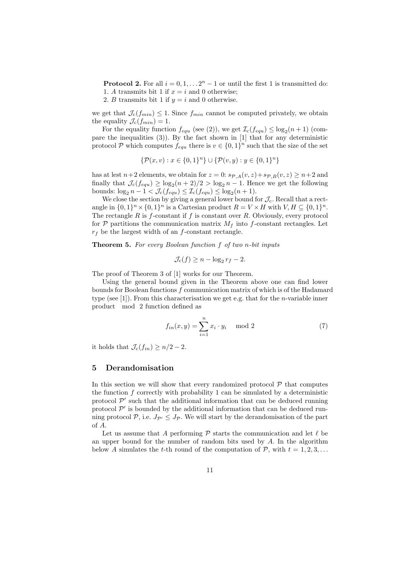**Protocol 2.** For all  $i = 0, 1, \ldots, 2<sup>n</sup> - 1$  or until the first 1 is transmitted do: 1. A transmits bit 1 if  $x = i$  and 0 otherwise;

2. B transmits bit 1 if  $y = i$  and 0 otherwise.

we get that  $\mathcal{J}_c(f_{min}) \leq 1$ . Since  $f_{min}$  cannot be computed privately, we obtain the equality  $\mathcal{J}_c(f_{min}) = 1$ .

For the equality function  $f_{equ}$  (see (2)), we get  $\mathcal{I}_c(f_{equ}) \leq \log_2(n+1)$  (compare the inequalities  $(3)$ ). By the fact shown in [1] that for any deterministic protocol P which computes  $f_{equ}$  there is  $v \in \{0,1\}^n$  such that the size of the set

$$
\{\mathcal{P}(x,v):x\in\{0,1\}^n\}\cup\{\mathcal{P}(v,y):y\in\{0,1\}^n\}
$$

has at lest  $n+2$  elements, we obtain for  $z = 0$ :  $s_{\mathcal{P},A}(v, z) + s_{\mathcal{P},B}(v, z) \geq n+2$  and finally that  $\mathcal{J}_c(f_{equ}) \geq \log_2(n+2)/2 > \log_2(n-1)$ . Hence we get the following bounds:  $\log_2 n - 1 < \mathcal{J}_c(f_{equ}) \leq \mathcal{I}_c(f_{equ}) \leq \log_2(n+1)$ .

We close the section by giving a general lower bound for  $\mathcal{J}_c$ . Recall that a rectangle in  $\{0,1\}^n \times \{0,1\}^n$  is a Cartesian product  $R = V \times H$  with  $V, H \subseteq \{0,1\}^n$ . The rectangle R is  $f$ -constant if f is constant over R. Obviously, every protocol for  $P$  partitions the communication matrix  $M_f$  into f-constant rectangles. Let  $r_f$  be the largest width of an  $f$ -constant rectangle.

**Theorem 5.** *For every Boolean function* f *of two* n*-bit inputs*

$$
\mathcal{J}_{\mathbf{c}}(f) \ge n - \log_2 r_f - 2.
$$

The proof of Theorem 3 of [1] works for our Theorem.

Using the general bound given in the Theorem above one can find lower bounds for Boolean functions  $f$  communication matrix of which is of the Hadamard type (see [1]). From this characterisation we get e.g. that for the *n*-variable inner product mod 2 function defined as

$$
f_{in}(x,y) = \sum_{i=1}^{n} x_i \cdot y_i \mod 2 \tag{7}
$$

it holds that  $\mathcal{J}_c(f_{in}) \geq n/2 - 2$ .

#### **5 Derandomisation**

In this section we will show that every randomized protocol  $P$  that computes the function  $f$  correctly with probability 1 can be simulated by a deterministic protocol  $\mathcal{P}'$  such that the additional information that can be deduced running protocol  $\mathcal{P}'$  is bounded by the additional information that can be deduced running protocol  $P$ , i.e.  $J_{\mathcal{P}} \leq J_{\mathcal{P}}$ . We will start by the derandomisation of the part of A.

Let us assume that A performing  $\mathcal{P}$  starts the communication and let  $\ell$  be<br>upper bound for the number of random bits used by A. In the algorithm an upper bound for the number of random bits used by  $A$ . In the algorithm below A simulates the t-th round of the computation of  $P$ , with  $t = 1, 2, 3, \ldots$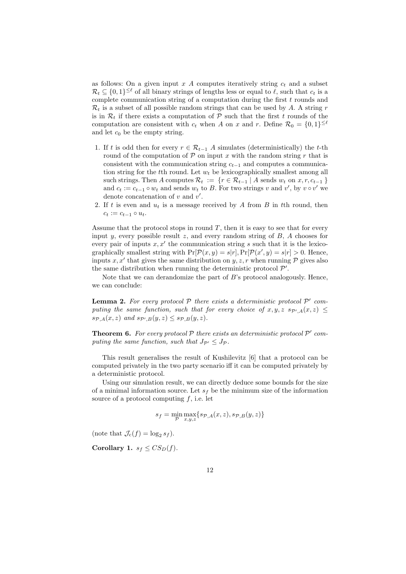as follows: On a given input x A computes iteratively string  $c_t$  and a subset  $\mathcal{R}_t \subseteq \{0,1\}^{\leq \ell}$  of all binary strings of lengths less or equal to  $\ell$ , such that  $c_t$  is a complete communication string of a computation during the first t rounds and complete communication string of a computation during the first  $t$  rounds and  $\mathcal{R}_t$  is a subset of all possible random strings that can be used by A. A string r is in  $\mathcal{R}_t$  if there exists a computation of P such that the first t rounds of the computation are consistent with  $c_t$  when A on x and r. Define  $\mathcal{R}_0 = \{0,1\}^{\leq \ell}$ and let  $c_0$  be the empty string.

- 1. If t is odd then for every  $r \in \mathcal{R}_{t-1}$  A simulates (deterministically) the t-th round of the computation of  $P$  on input x with the random string r that is consistent with the communication string  $c_{t-1}$  and computes a communication string for the tth round. Let  $w_t$  be lexicographically smallest among all such strings. Then A computes  $\mathcal{R}_t := \{r \in \mathcal{R}_{t-1} \mid A \text{ sends } w_t \text{ on } x, r, c_{t-1} \}$ and  $c_t := c_{t-1} \circ w_t$  and sends  $w_t$  to B. For two strings v and v', by v  $\circ v'$  we denote concertention of v and v' denote concatenation of v and  $v'$ .<br>If t is over and u, is a mossage.
- 2. If t is even and  $u_t$  is a message received by A from B in tth round, then  $c_t := c_{t-1} \circ u_t.$

Assume that the protocol stops in round  $T$ , then it is easy to see that for every input y, every possible result z, and every random string of  $B$ ,  $A$  chooses for every pair of inputs  $x, x'$  the communication string s such that it is the lexicographically smallest string with  $Pr[\mathcal{P}(x, y) = s | r], Pr[\mathcal{P}(x', y) = s | r] > 0$ . Hence, inputs x, x' that gives the same distribution on y, z, r when running  $\mathcal P$  gives also the same distribution when running the deterministic protocol  $\mathcal{P}'$ .

Note that we can derandomize the part of  $B$ 's protocol analogously. Hence, we can conclude:

**Lemma 2.** For every protocol  $P$  there exists a deterministic protocol  $P'$  com*puting the same function, such that for every choice of*  $x, y, z \ s_{\mathcal{P}'A}(x, z) \leq$  $s_{\mathcal{P},A}(x, z)$  and  $s_{\mathcal{P}',B}(y, z) \leq s_{\mathcal{P},B}(y, z)$ .

**Theorem 6.** For every protocol  $P$  there exists an deterministic protocol  $P'$  com*puting the same function, such that*  $J_{\mathcal{P}'} \leq J_{\mathcal{P}}$ *.* 

This result generalises the result of Kushilevitz [6] that a protocol can be computed privately in the two party scenario iff it can be computed privately by a deterministic protocol.

Using our simulation result, we can directly deduce some bounds for the size of a minimal information source. Let  $s_f$  be the minimum size of the information source of a protocol computing  $f$ , i.e. let

$$
s_f = \min_{\mathcal{P}} \max_{x,y,z} \{ s_{\mathcal{P},A}(x,z), s_{\mathcal{P},B}(y,z) \}
$$

(note that  $\mathcal{J}_c(f) = \log_2 s_f$ ).

**Corollary 1.**  $s_f \leq C S_D(f)$ .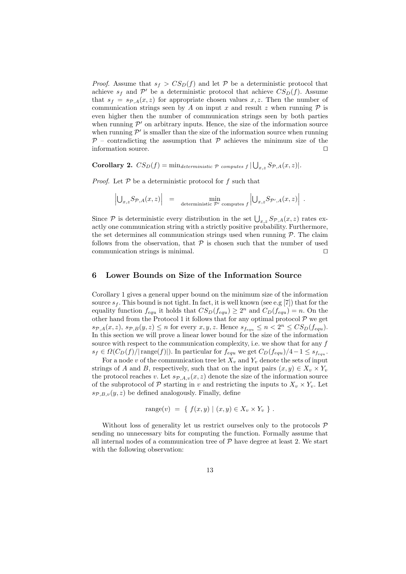*Proof.* Assume that  $s_f > CS_D(f)$  and let P be a deterministic protocol that achieve  $s_f$  and  $\mathcal{P}'$  be a deterministic protocol that achieve  $CS_D(f)$ . Assume that  $s_f = s_{\mathcal{P},A}(x, z)$  for appropriate chosen values x, z. Then the number of communication strings seen by A on input x and result z when running  $P$  is even higher then the number of communication strings seen by both parties when running  $\mathcal{P}'$  on arbitrary inputs. Hence, the size of the information source when running  $\mathcal{P}'$  is smaller than the size of the information source when running  $P$  – contradicting the assumption that P achieves the minimum size of the information source.

**Corollary 2.**  $CS_D(f) = \min_{deterministic} p$  *computes*  $f \cup (x, z) = S_{p,A}(x, z)$ .

*Proof.* Let  $P$  be a deterministic protocol for  $f$  such that

$$
\left| \bigcup_{x,z} S_{\mathcal{P},A}(x,z) \right| = \min_{\text{deterministic } \mathcal{P}'} \min_{\text{computes } f} \left| \bigcup_{x,z} S_{\mathcal{P}',A}(x,z) \right| .
$$

Since  $\mathcal{P}$  is deterministic every distribution in the set  $\bigcup_{x,z} S_{\mathcal{P},A}(x,z)$  rates ex-<br>actly one communication string with a strictly positive probability. Furthermore actly one communication string with a strictly positive probability. Furthermore, the set determines all communication strings used when running  $P$ . The claim follows from the observation, that  $P$  is chosen such that the number of used communication strings is minimal.

## **6 Lower Bounds on Size of the Information Source**

Corollary 1 gives a general upper bound on the minimum size of the information source  $s_f$ . This bound is not tight. In fact, it is well known (see e.g [7]) that for the equality function  $f_{equ}$  it holds that  $CS_D(f_{equ}) \geq 2^n$  and  $C_D(f_{equ}) = n$ . On the other hand from the Protocol 1 it follows that for any optimal protocol  $P$  we get  $s_{\mathcal{P},A}(x, z), s_{\mathcal{P},B}(y, z) \leq n$  for every  $x, y, z$ . Hence  $s_{f_{equ}} \leq n < 2^n \leq C S_D(f_{equ}).$ In this section we will prove a linear lower bound for the size of the information source with respect to the communication complexity, i.e. we show that for any  $f$  $s_f \in \Omega(C_D(f)/|\text{range}(f)|)$ . In particular for  $f_{equ}$  we get  $C_D(f_{equ})/4-1 \leq s_{f_{equ}}$ .

For a node v of the communication tree let  $X_v$  and  $Y_v$  denote the sets of input strings of A and B, respectively, such that on the input pairs  $(x, y) \in X_v \times Y_v$ the protocol reaches v. Let  $s_{\mathcal{P},A,v}(x, z)$  denote the size of the information source of the subprotocol of  $P$  starting in v and restricting the inputs to  $X_v \times Y_v$ . Let  $s_{\mathcal{P},B,v}(y,z)$  be defined analogously. Finally, define

range(v) = { 
$$
f(x, y) | (x, y) \in X_v \times Y_v
$$
 }.

Without loss of generality let us restrict ourselves only to the protocols  $P$ sending no unnecessary bits for computing the function. Formally assume that all internal nodes of a communication tree of  $P$  have degree at least 2. We start with the following observation: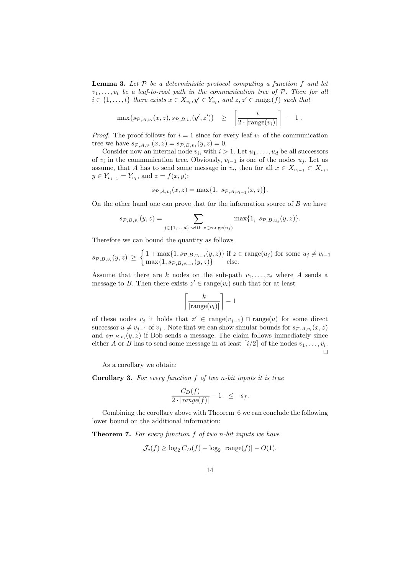**Lemma 3.** *Let* <sup>P</sup> *be a deterministic protocol computing a function* f *and let*  $v_1, \ldots, v_t$  *be a leaf-to-root path in the communication tree of*  $P$ *. Then for all*  $i \in \{1, \ldots, t\}$  there exists  $x \in X_{v_i}, y' \in Y_{v_i}$ , and  $z, z' \in \text{range}(f)$  such that

$$
\max\{sp_{,A,v_i}(x,z), sp_{,B,v_i}(y',z')\} \geq \left\lceil \frac{i}{2 \cdot |\text{range}(v_i)|} \right\rceil - 1.
$$

*Proof.* The proof follows for  $i = 1$  since for every leaf  $v_1$  of the communication tree we have  $s_{\mathcal{P},A,v_1}(x, z) = s_{\mathcal{P},B,v_1}(y, z) = 0.$ 

Consider now an internal node  $v_i$ , with  $i > 1$ . Let  $u_1, \ldots, u_d$  be all successors of  $v_i$  in the communication tree. Obviously,  $v_{i-1}$  is one of the nodes  $u_j$ . Let us assume, that A has to send some message in  $v_i$ , then for all  $x \in X_{v_{i-1}} \subset X_{v_i}$ , *y* ∈  $Y_{v_{i-1}} = Y_{v_i}$ , and  $z = f(x, y)$ :

$$
s_{\mathcal{P},A,v_i}(x,z) = \max\{1, s_{\mathcal{P},A,v_{i-1}}(x,z)\}.
$$

On the other hand one can prove that for the information source of  $B$  we have

$$
s_{\mathcal{P},B,v_i}(y,z)=\sum_{j\in\{1,\ldots,d\}\text{ with }z\in\text{range}(u_j)}\max\{1,\ s_{\mathcal{P},B,u_j}(y,z)\}.
$$

Therefore we can bound the quantity as follows

$$
s_{\mathcal{P},B,v_i}(y,z) \geq \begin{cases} 1 + \max\{1, s_{\mathcal{P},B,v_{i-1}}(y,z)\} \text{ if } z \in \text{range}(u_j) \text{ for some } u_j \neq v_{i-1} \\ \max\{1, s_{\mathcal{P},B,v_{i-1}}(y,z)\} \text{ else.} \end{cases}
$$

Assume that there are k nodes on the sub-path  $v_1, \ldots, v_i$  where A sends a message to B. Then there exists  $z' \in \text{range}(v_i)$  such that for at least

$$
\left\lceil \frac{k}{|\text{range}(v_i)|} \right\rceil - 1
$$

of these nodes  $v_j$  it holds that  $z' \in \text{range}(v_{j-1}) \cap \text{range}(u)$  for some direct successor  $u \neq v_{j-1}$  of  $v_j$ . Note that we can show simular bounds for  $s_{\mathcal{P},A,v_i}(x,z)$ and  $s_{\mathcal{P},B,v_i}(y,z)$  if Bob sends a message. The claim follows immediately since either A or B has to send some message in at least  $[i/2]$  of the nodes  $v_1, \ldots, v_i$ .  $\Box$ 

As a corollary we obtain:

**Corollary 3.** *For every function* f *of two* n*-bit inputs it is true*

$$
\frac{C_D(f)}{2 \cdot |\text{range}(f)|} - 1 \leq s_f.
$$

Combining the corollary above with Theorem 6 we can conclude the following lower bound on the additional information:

**Theorem 7.** *For every function* f *of two* n*-bit inputs we have*

$$
\mathcal{J}_{\mathrm{c}}(f) \ge \log_2 C_D(f) - \log_2 |\operatorname{range}(f)| - O(1).
$$